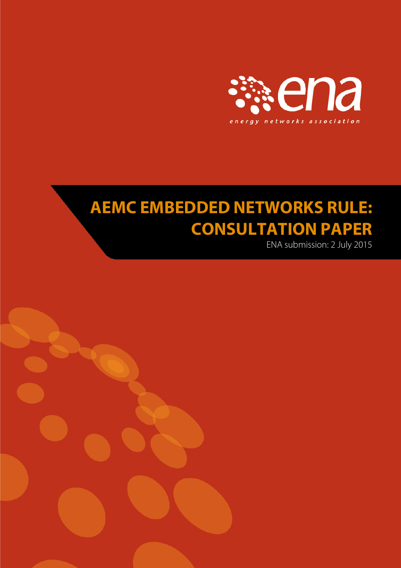

# **AEMC EMBEDDED NETWORKS RULE: CONSULTATION PAPER**

ENA submission: 2 July 2015

<span id="page-0-0"></span>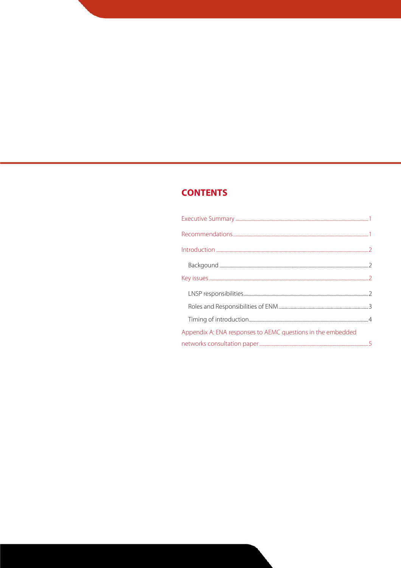# **CONTENTS**

| Appendix A: ENA responses to AEMC questions in the embedded |  |
|-------------------------------------------------------------|--|
|                                                             |  |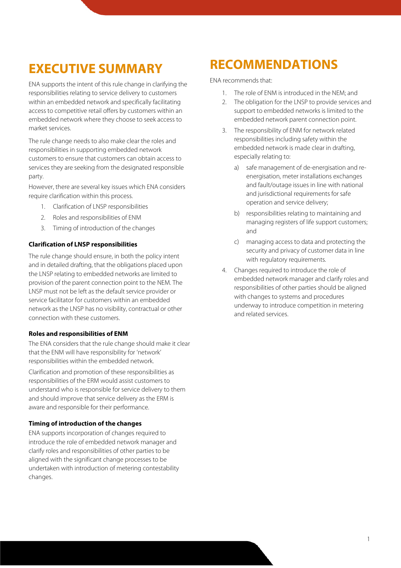# **EXECUTIVE SUMMARY**

ENA supports the intent of this rule change in clarifying the responsibilities relating to service delivery to customers within an embedded network and specifically facilitating access to competitive retail offers by customers within an embedded network where they choose to seek access to market services.

The rule change needs to also make clear the roles and responsibilities in supporting embedded network customers to ensure that customers can obtain access to services they are seeking from the designated responsible party.

However, there are several key issues which ENA considers require clarification within this process.

- 1. Clarification of LNSP responsibilities
- 2. Roles and responsibilities of ENM
- 3. Timing of introduction of the changes

### **Clarification of LNSP responsibilities**

The rule change should ensure, in both the policy intent and in detailed drafting, that the obligations placed upon the LNSP relating to embedded networks are limited to provision of the parent connection point to the NEM. The LNSP must not be left as the default service provider or service facilitator for customers within an embedded network as the LNSP has no visibility, contractual or other connection with these customers.

#### **Roles and responsibilities of ENM**

The ENA considers that the rule change should make it clear that the ENM will have responsibility for 'network' responsibilities within the embedded network.

Clarification and promotion of these responsibilities as responsibilities of the ERM would assist customers to understand who is responsible for service delivery to them and should improve that service delivery as the ERM is aware and responsible for their performance.

### **Timing of introduction of the changes**

ENA supports incorporation of changes required to introduce the role of embedded network manager and clarify roles and responsibilities of other parties to be aligned with the significant change processes to be undertaken with introduction of metering contestability changes.

# **RECOMMENDATIONS**

ENA recommends that:

- 1. The role of ENM is introduced in the NEM; and
- 2. The obligation for the LNSP to provide services and support to embedded networks is limited to the embedded network parent connection point.
- 3. The responsibility of ENM for network related responsibilities including safety within the embedded network is made clear in drafting, especially relating to:
	- a) safe management of de-energisation and reenergisation, meter installations exchanges and fault/outage issues in line with national and jurisdictional requirements for safe operation and service delivery;
	- b) responsibilities relating to maintaining and managing registers of life support customers; and
	- c) managing access to data and protecting the security and privacy of customer data in line with regulatory requirements.
- 4. Changes required to introduce the role of embedded network manager and clarify roles and responsibilities of other parties should be aligned with changes to systems and procedures underway to introduce competition in metering and related services.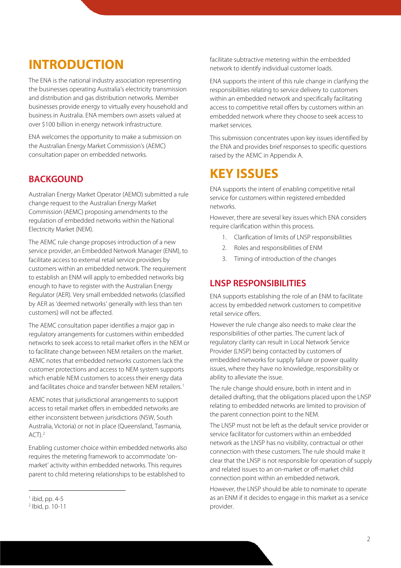# **INTRODUCTION**

The ENA is the national industry association representing the businesses operating Australia's electricity transmission and distribution and gas distribution networks. Member businesses provide energy to virtually every household and business in Australia. ENA members own assets valued at over \$100 billion in energy network infrastructure.

ENA welcomes the opportunity to make a submission on the Australian Energy Market Commission's (AEMC) consultation paper on embedded networks.

## **BACKGOUND**

Australian Energy Market Operator (AEMO) submitted a rule change request to the Australian Energy Market Commission (AEMC) proposing amendments to the regulation of embedded networks within the National Electricity Market (NEM).

The AEMC rule change proposes introduction of a new service provider, an Embedded Network Manager (ENM), to facilitate access to external retail service providers by customers within an embedded network. The requirement to establish an ENM will apply to embedded networks big enough to have to register with the Australian Energy Regulator (AER). Very small embedded networks (classified by AER as 'deemed networks' generally with less than ten customers) will not be affected.

The AEMC consultation paper identifies a major gap in regulatory arrangements for customers within embedded networks to seek access to retail market offers in the NEM or to facilitate change between NEM retailers on the market. AEMC notes that embedded networks customers lack the customer protections and access to NEM system supports which enable NEM customers to access their energy data and facilitates choice and transfer between NEM retailers.<sup>[1](#page-0-0)</sup>

AEMC notes that jurisdictional arrangements to support access to retail market offers in embedded networks are either inconsistent between jurisdictions (NSW, South Australia, Victoria) or not in place (Queensland, Tasmania,  $ACT<sup>2</sup>$  $ACT<sup>2</sup>$  $ACT<sup>2</sup>$ 

Enabling customer choice within embedded networks also requires the metering framework to accommodate 'onmarket' activity within embedded networks. This requires parent to child metering relationships to be established to

facilitate subtractive metering within the embedded network to identify individual customer loads.

ENA supports the intent of this rule change in clarifying the responsibilities relating to service delivery to customers within an embedded network and specifically facilitating access to competitive retail offers by customers within an embedded network where they choose to seek access to market services.

This submission concentrates upon key issues identified by the ENA and provides brief responses to specific questions raised by the AEMC in Appendix A.

# **KEY ISSUES**

ENA supports the intent of enabling competitive retail service for customers within registered embedded networks.

However, there are several key issues which ENA considers require clarification within this process.

- 1. Clarification of limits of LNSP responsibilities
- 2. Roles and responsibilities of ENM
- 3. Timing of introduction of the changes

### **LNSP RESPONSIBILITIES**

ENA supports establishing the role of an ENM to facilitate access by embedded network customers to competitive retail service offers.

However the rule change also needs to make clear the responsibilities of other parties. The current lack of regulatory clarity can result in Local Network Service Provider (LNSP) being contacted by customers of embedded networks for supply failure or power quality issues, where they have no knowledge, responsibility or ability to alleviate the issue.

The rule change should ensure, both in intent and in detailed drafting, that the obligations placed upon the LNSP relating to embedded networks are limited to provision of the parent connection point to the NEM.

The LNSP must not be left as the default service provider or service facilitator for customers within an embedded network as the LNSP has no visibility, contractual or other connection with these customers. The rule should make it clear that the LNSP is not responsible for operation of supply and related issues to an on-market or off-market child connection point within an embedded network.

However, the LNSP should be able to nominate to operate as an ENM if it decides to engage in this market as a service provider.

<span id="page-3-1"></span> $<sup>1</sup>$  ibid, pp. 4-5</sup>

<span id="page-3-0"></span><sup>2</sup> Ibid, p. 10-11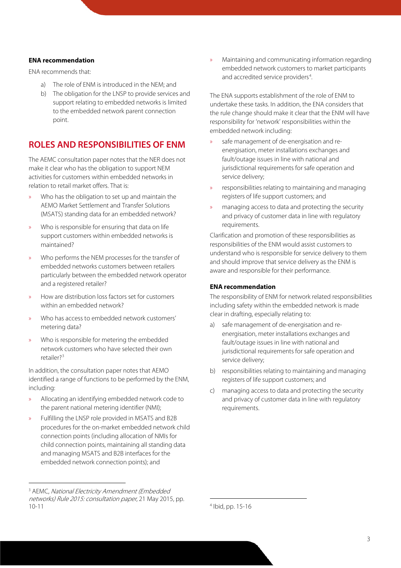#### **ENA recommendation**

ENA recommends that:

- a) The role of ENM is introduced in the NEM; and
- b) The obligation for the LNSP to provide services and support relating to embedded networks is limited to the embedded network parent connection point.

### **ROLES AND RESPONSIBILITIES OF ENM**

The AEMC consultation paper notes that the NER does not make it clear who has the obligation to support NEM activities for customers within embedded networks in relation to retail market offers. That is:

- » Who has the obligation to set up and maintain the AEMO Market Settlement and Transfer Solutions (MSATS) standing data for an embedded network?
- » Who is responsible for ensuring that data on life support customers within embedded networks is maintained?
- Who performs the NEM processes for the transfer of embedded networks customers between retailers particularly between the embedded network operator and a registered retailer?
- » How are distribution loss factors set for customers within an embedded network?
- » Who has access to embedded network customers' metering data?
- » Who is responsible for metering the embedded network customers who have selected their own retailer?[3](#page-3-1)

In addition, the consultation paper notes that AEMO identified a range of functions to be performed by the ENM, including:

- » Allocating an identifying embedded network code to the parent national metering identifier (NMI);
- » Fulfilling the LNSP role provided in MSATS and B2B procedures for the on-market embedded network child connection points (including allocation of NMIs for child connection points, maintaining all standing data and managing MSATS and B2B interfaces for the embedded network connection points); and

» Maintaining and communicating information regarding embedded network customers to market participants and accredited service providers<sup>[4](#page-4-0)</sup>. .

The ENA supports establishment of the role of ENM to undertake these tasks. In addition, the ENA considers that the rule change should make it clear that the ENM will have responsibility for 'network' responsibilities within the embedded network including:

- » safe management of de-energisation and reenergisation, meter installations exchanges and fault/outage issues in line with national and jurisdictional requirements for safe operation and service delivery;
- » responsibilities relating to maintaining and managing registers of life support customers; and
- » managing access to data and protecting the security and privacy of customer data in line with regulatory requirements.

Clarification and promotion of these responsibilities as responsibilities of the ENM would assist customers to understand who is responsible for service delivery to them and should improve that service delivery as the ENM is aware and responsible for their performance.

#### **ENA recommendation**

The responsibility of ENM for network related responsibilities including safety within the embedded network is made clear in drafting, especially relating to:

- a) safe management of de-energisation and reenergisation, meter installations exchanges and fault/outage issues in line with national and jurisdictional requirements for safe operation and service delivery;
- b) responsibilities relating to maintaining and managing registers of life support customers; and
- c) managing access to data and protecting the security and privacy of customer data in line with regulatory requirements.

<span id="page-4-0"></span><sup>&</sup>lt;sup>3</sup> AEMC, National Electricity Amendment (Embedded networks) Rule 2015: consultation paper, 21 May 2015, pp. 10-11

 <sup>4</sup> Ibid, pp. 15-16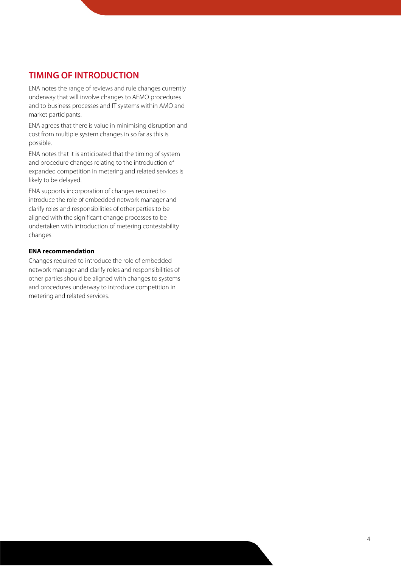### **TIMING OF INTRODUCTION**

ENA notes the range of reviews and rule changes currently underway that will involve changes to AEMO procedures and to business processes and IT systems within AMO and market participants.

ENA agrees that there is value in minimising disruption and cost from multiple system changes in so far as this is possible.

ENA notes that it is anticipated that the timing of system and procedure changes relating to the introduction of expanded competition in metering and related services is likely to be delayed.

ENA supports incorporation of changes required to introduce the role of embedded network manager and clarify roles and responsibilities of other parties to be aligned with the significant change processes to be undertaken with introduction of metering contestability changes.

### **ENA recommendation**

Changes required to introduce the role of embedded network manager and clarify roles and responsibilities of other parties should be aligned with changes to systems and procedures underway to introduce competition in metering and related services.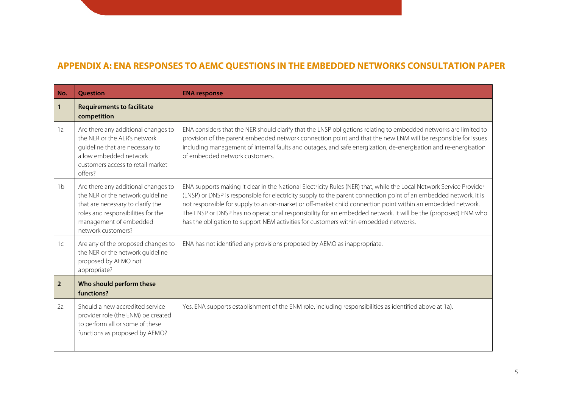### **APPENDIX A: ENA RESPONSES TO AEMC QUESTIONS IN THE EMBEDDED NETWORKS CONSULTATION PAPER**

| No.            | <b>Ouestion</b>                                                                                                                                                                                    | <b>ENA response</b>                                                                                                                                                                                                                                                                                                                                                                                                                                                                                                                                              |
|----------------|----------------------------------------------------------------------------------------------------------------------------------------------------------------------------------------------------|------------------------------------------------------------------------------------------------------------------------------------------------------------------------------------------------------------------------------------------------------------------------------------------------------------------------------------------------------------------------------------------------------------------------------------------------------------------------------------------------------------------------------------------------------------------|
| 1              | <b>Requirements to facilitate</b><br>competition                                                                                                                                                   |                                                                                                                                                                                                                                                                                                                                                                                                                                                                                                                                                                  |
| 1a             | Are there any additional changes to<br>the NER or the AER's network<br>guideline that are necessary to<br>allow embedded network<br>customers access to retail market<br>offers?                   | ENA considers that the NER should clarify that the LNSP obligations relating to embedded networks are limited to<br>provision of the parent embedded network connection point and that the new ENM will be responsible for issues<br>including management of internal faults and outages, and safe energization, de-energisation and re-energisation<br>of embedded network customers.                                                                                                                                                                           |
| 1 <sub>b</sub> | Are there any additional changes to<br>the NER or the network guideline<br>that are necessary to clarify the<br>roles and responsibilities for the<br>management of embedded<br>network customers? | ENA supports making it clear in the National Electricity Rules (NER) that, while the Local Network Service Provider<br>(LNSP) or DNSP is responsible for electricity supply to the parent connection point of an embedded network, it is<br>not responsible for supply to an on-market or off-market child connection point within an embedded network.<br>The LNSP or DNSP has no operational responsibility for an embedded network. It will be the (proposed) ENM who<br>has the obligation to support NEM activities for customers within embedded networks. |
| 1 <sup>c</sup> | Are any of the proposed changes to<br>the NER or the network guideline<br>proposed by AEMO not<br>appropriate?                                                                                     | ENA has not identified any provisions proposed by AEMO as inappropriate.                                                                                                                                                                                                                                                                                                                                                                                                                                                                                         |
| $\overline{2}$ | Who should perform these<br>functions?                                                                                                                                                             |                                                                                                                                                                                                                                                                                                                                                                                                                                                                                                                                                                  |
| 2a             | Should a new accredited service<br>provider role (the ENM) be created<br>to perform all or some of these<br>functions as proposed by AEMO?                                                         | Yes. ENA supports establishment of the ENM role, including responsibilities as identified above at 1a).                                                                                                                                                                                                                                                                                                                                                                                                                                                          |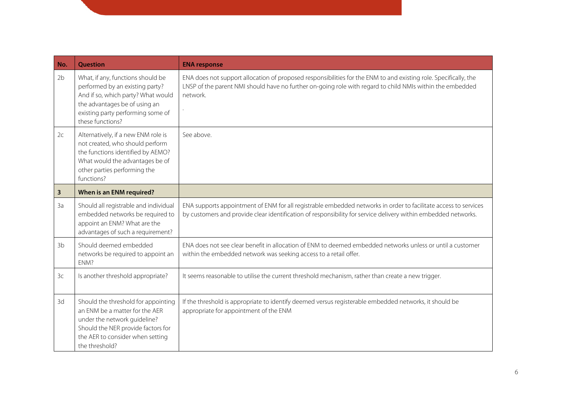| No.            | <b>Question</b>                                                                                                                                                                                      | <b>ENA response</b>                                                                                                                                                                                                                       |
|----------------|------------------------------------------------------------------------------------------------------------------------------------------------------------------------------------------------------|-------------------------------------------------------------------------------------------------------------------------------------------------------------------------------------------------------------------------------------------|
| 2b             | What, if any, functions should be<br>performed by an existing party?<br>And if so, which party? What would<br>the advantages be of using an<br>existing party performing some of<br>these functions? | ENA does not support allocation of proposed responsibilities for the ENM to and existing role. Specifically, the<br>LNSP of the parent NMI should have no further on-going role with regard to child NMIs within the embedded<br>network. |
| 2c             | Alternatively, if a new ENM role is<br>not created, who should perform<br>the functions identified by AEMO?<br>What would the advantages be of<br>other parties performing the<br>functions?         | See above.                                                                                                                                                                                                                                |
| 3              | When is an ENM required?                                                                                                                                                                             |                                                                                                                                                                                                                                           |
| 3a             | Should all registrable and individual<br>embedded networks be required to<br>appoint an ENM? What are the<br>advantages of such a requirement?                                                       | ENA supports appointment of ENM for all registrable embedded networks in order to facilitate access to services<br>by customers and provide clear identification of responsibility for service delivery within embedded networks.         |
| 3 <sub>b</sub> | Should deemed embedded<br>networks be required to appoint an<br>ENM?                                                                                                                                 | ENA does not see clear benefit in allocation of ENM to deemed embedded networks unless or until a customer<br>within the embedded network was seeking access to a retail offer.                                                           |
| 3 <sup>c</sup> | Is another threshold appropriate?                                                                                                                                                                    | It seems reasonable to utilise the current threshold mechanism, rather than create a new trigger.                                                                                                                                         |
| 3d             | Should the threshold for appointing<br>an ENM be a matter for the AER<br>under the network guideline?<br>Should the NER provide factors for<br>the AER to consider when setting<br>the threshold?    | If the threshold is appropriate to identify deemed versus registerable embedded networks, it should be<br>appropriate for appointment of the ENM                                                                                          |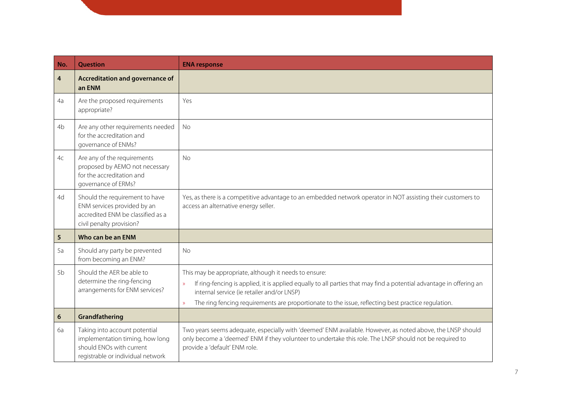| No.            | <b>Ouestion</b>                                                                                                                   | <b>ENA response</b>                                                                                                                                                                                                                                                                                                                                        |
|----------------|-----------------------------------------------------------------------------------------------------------------------------------|------------------------------------------------------------------------------------------------------------------------------------------------------------------------------------------------------------------------------------------------------------------------------------------------------------------------------------------------------------|
| 4              | Accreditation and governance of<br>an ENM                                                                                         |                                                                                                                                                                                                                                                                                                                                                            |
| 4a             | Are the proposed requirements<br>appropriate?                                                                                     | Yes                                                                                                                                                                                                                                                                                                                                                        |
| 4b             | Are any other requirements needed<br>for the accreditation and<br>governance of ENMs?                                             | <b>No</b>                                                                                                                                                                                                                                                                                                                                                  |
| 4c             | Are any of the requirements<br>proposed by AEMO not necessary<br>for the accreditation and<br>governance of ERMs?                 | No                                                                                                                                                                                                                                                                                                                                                         |
| 4d             | Should the requirement to have<br>ENM services provided by an<br>accredited ENM be classified as a<br>civil penalty provision?    | Yes, as there is a competitive advantage to an embedded network operator in NOT assisting their customers to<br>access an alternative energy seller.                                                                                                                                                                                                       |
| 5              | Who can be an ENM                                                                                                                 |                                                                                                                                                                                                                                                                                                                                                            |
| 5a             | Should any party be prevented<br>from becoming an ENM?                                                                            | No                                                                                                                                                                                                                                                                                                                                                         |
| 5 <sub>b</sub> | Should the AER be able to<br>determine the ring-fencing<br>arrangements for ENM services?                                         | This may be appropriate, although it needs to ensure:<br>If ring-fencing is applied, it is applied equally to all parties that may find a potential advantage in offering an<br>$\mathcal{D}$<br>internal service (ie retailer and/or LNSP)<br>The ring fencing requirements are proportionate to the issue, reflecting best practice regulation.<br>$\gg$ |
| 6              | Grandfathering                                                                                                                    |                                                                                                                                                                                                                                                                                                                                                            |
| 6a             | Taking into account potential<br>implementation timing, how long<br>should ENOs with current<br>registrable or individual network | Two years seems adequate, especially with 'deemed' ENM available. However, as noted above, the LNSP should<br>only become a 'deemed' ENM if they volunteer to undertake this role. The LNSP should not be required to<br>provide a 'default' ENM role.                                                                                                     |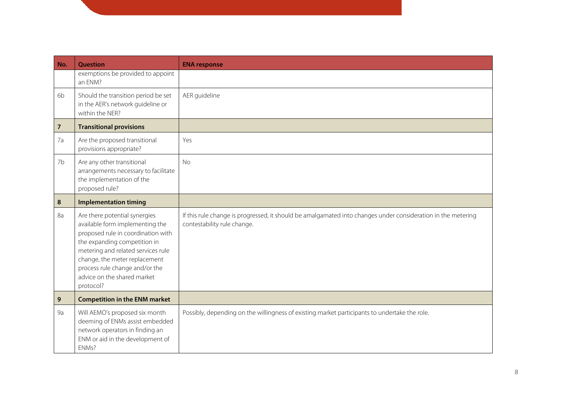| No.            | <b>Question</b>                                                                                                                                                                                                                                                                             | <b>ENA response</b>                                                                                                                         |
|----------------|---------------------------------------------------------------------------------------------------------------------------------------------------------------------------------------------------------------------------------------------------------------------------------------------|---------------------------------------------------------------------------------------------------------------------------------------------|
|                | exemptions be provided to appoint<br>an ENM?                                                                                                                                                                                                                                                |                                                                                                                                             |
| 6b             | Should the transition period be set<br>in the AER's network guideline or<br>within the NER?                                                                                                                                                                                                 | AER guideline                                                                                                                               |
| $\overline{7}$ | <b>Transitional provisions</b>                                                                                                                                                                                                                                                              |                                                                                                                                             |
| 7a             | Are the proposed transitional<br>provisions appropriate?                                                                                                                                                                                                                                    | Yes                                                                                                                                         |
| 7b             | Are any other transitional<br>arrangements necessary to facilitate<br>the implementation of the<br>proposed rule?                                                                                                                                                                           | <b>No</b>                                                                                                                                   |
| 8              | <b>Implementation timing</b>                                                                                                                                                                                                                                                                |                                                                                                                                             |
| 8a             | Are there potential synergies<br>available form implementing the<br>proposed rule in coordination with<br>the expanding competition in<br>metering and related services rule<br>change, the meter replacement<br>process rule change and/or the<br>advice on the shared market<br>protocol? | If this rule change is progressed, it should be amalgamated into changes under consideration in the metering<br>contestability rule change. |
| 9              | <b>Competition in the ENM market</b>                                                                                                                                                                                                                                                        |                                                                                                                                             |
| 9a             | Will AEMO's proposed six month<br>deeming of ENMs assist embedded<br>network operators in finding an<br>ENM or aid in the development of<br>ENMs?                                                                                                                                           | Possibly, depending on the willingness of existing market participants to undertake the role.                                               |